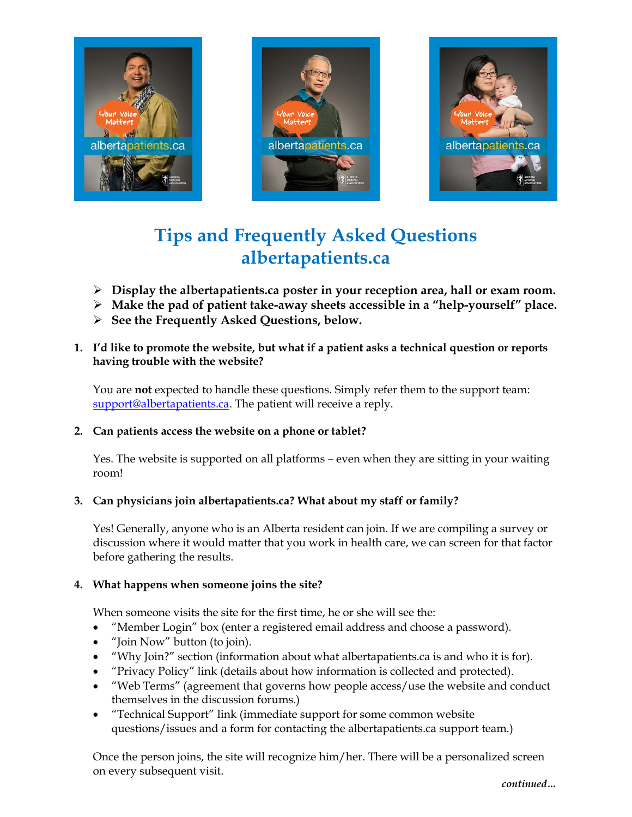





# **Tips and Frequently Asked Questions [albertapatients.ca](https://www.albertapatients.ca/Portal/default.aspx)**

- **Display the albertapatients.ca poster in your reception area, hall or exam room.**
- **Make the pad of patient take-away sheets accessible in a "help-yourself" place.**
- **See the Frequently Asked Questions, below.**
- **1. I'd like to promote the website, but what if a patient asks a technical question or reports having trouble with the website?**

You are **not** expected to handle these questions. Simply refer them to the support team: [support@albertapatients.ca.](mailto:support@albertapatients.ca) The patient will receive a reply.

# **2. Can patients access the website on a phone or tablet?**

Yes. The website is supported on all platforms – even when they are sitting in your waiting room!

# **3. Can physicians join albertapatients.ca? What about my staff or family?**

Yes! Generally, anyone who is an Alberta resident can join. If we are compiling a survey or discussion where it would matter that you work in health care, we can screen for that factor before gathering the results.

### **4. What happens when someone joins the site?**

When someone visits the site for the first time, he or she will see the:

- "Member Login" box (enter a registered email address and choose a password).
- "Join Now" button (to join).
- "Why Join?" section (information about what [albertapatients.ca](https://www.albertapatients.ca/Portal/default.aspx) is and who it is for).
- "Privacy Policy" link (details about how information is collected and protected).
- "Web Terms" (agreement that governs how people access/use the website and conduct themselves in the discussion forums.)
- "Technical Support" link (immediate support for some common website questions/issues and a form for contacting the albertapatients.ca support team.)

Once the person joins, the site will recognize him/her. There will be a personalized screen on every subsequent visit.